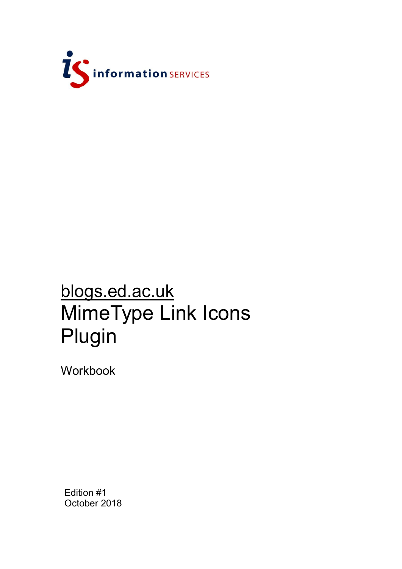

# blogs.ed.ac.uk MimeType Link Icons Plugin

Workbook

Edition #1 October 2018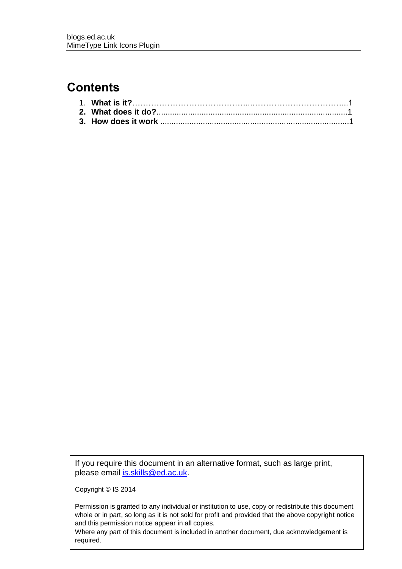## **Contents**

If you require this document in an alternative format, such as large print, please email [is.skills@ed.ac.uk.](mailto:is.skills@ed.ac.uk)

Copyright © IS 2014

Permission is granted to any individual or institution to use, copy or redistribute this document whole or in part, so long as it is not sold for profit and provided that the above copyright notice and this permission notice appear in all copies.

Where any part of this document is included in another document, due acknowledgement is required.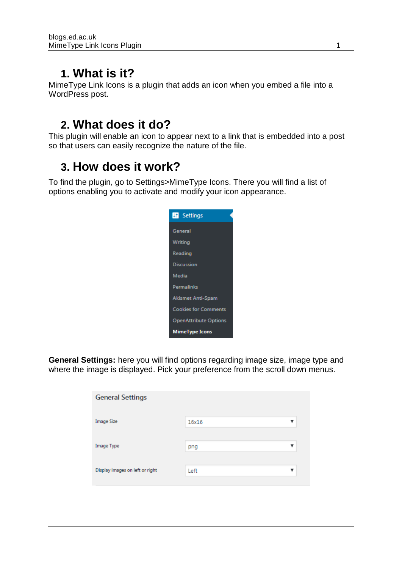## **1. What is it?**

MimeType Link Icons is a plugin that adds an icon when you embed a file into a WordPress post.

# **2. What does it do?**

This plugin will enable an icon to appear next to a link that is embedded into a post so that users can easily recognize the nature of the file.

## **3. How does it work?**

To find the plugin, go to Settings>MimeType Icons. There you will find a list of options enabling you to activate and modify your icon appearance.



**General Settings:** here you will find options regarding image size, image type and where the image is displayed. Pick your preference from the scroll down menus.

| <b>General Settings</b>         |       |   |  |  |  |
|---------------------------------|-------|---|--|--|--|
| Image Size                      | 16x16 | ▼ |  |  |  |
| Image Type                      | png   | ▼ |  |  |  |
| Display images on left or right | Left  | ▼ |  |  |  |